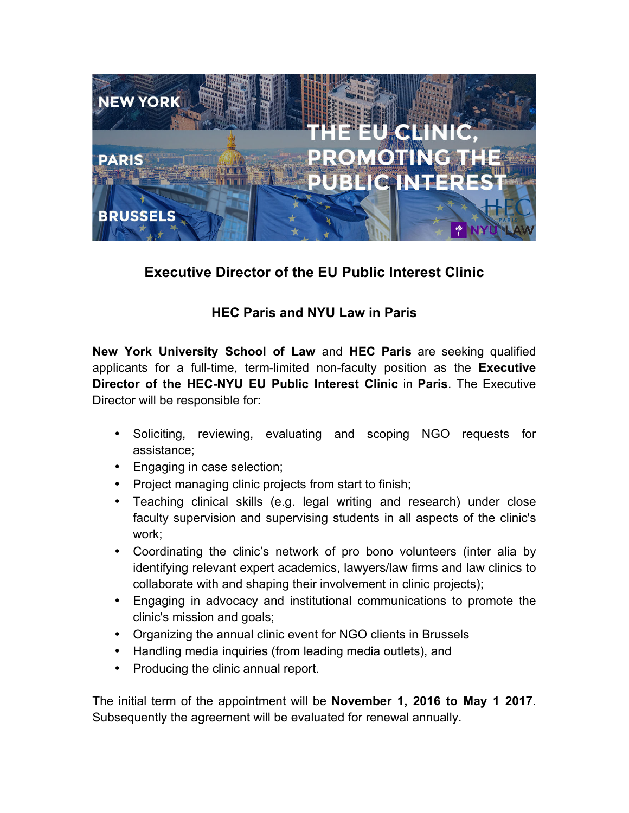

## **Executive Director of the EU Public Interest Clinic**

## **HEC Paris and NYU Law in Paris**

**New York University School of Law** and **HEC Paris** are seeking qualified applicants for a full-time, term-limited non-faculty position as the **Executive Director of the HEC-NYU EU Public Interest Clinic** in **Paris**. The Executive Director will be responsible for:

- Soliciting, reviewing, evaluating and scoping NGO requests for assistance;
- Engaging in case selection;
- Project managing clinic projects from start to finish;
- Teaching clinical skills (e.g. legal writing and research) under close faculty supervision and supervising students in all aspects of the clinic's work;
- Coordinating the clinic's network of pro bono volunteers (inter alia by identifying relevant expert academics, lawyers/law firms and law clinics to collaborate with and shaping their involvement in clinic projects);
- Engaging in advocacy and institutional communications to promote the clinic's mission and goals;
- Organizing the annual clinic event for NGO clients in Brussels
- Handling media inquiries (from leading media outlets), and
- Producing the clinic annual report.

The initial term of the appointment will be **November 1, 2016 to May 1 2017**. Subsequently the agreement will be evaluated for renewal annually.